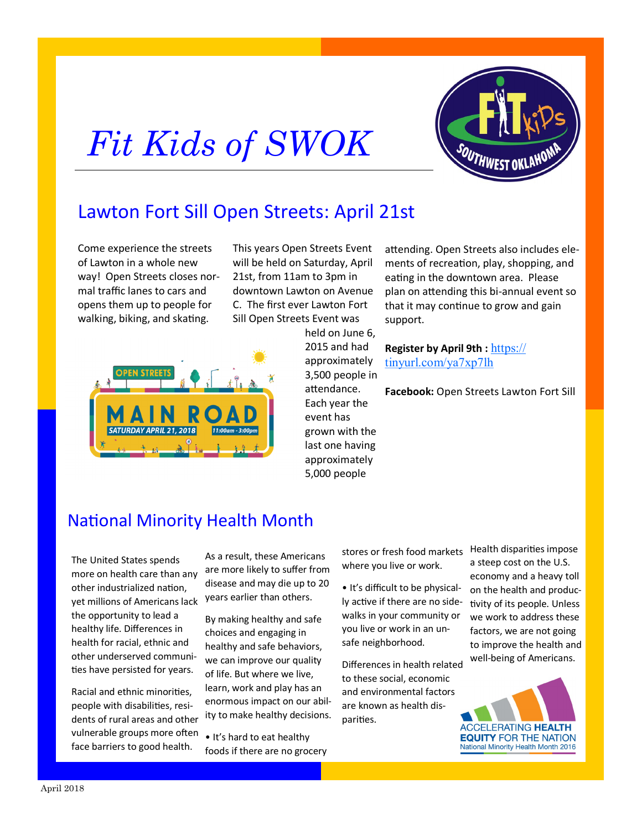## *Fit Kids of SWOK*



## Lawton Fort Sill Open Streets: April 21st

Come experience the streets of Lawton in a whole new way! Open Streets closes normal traffic lanes to cars and opens them up to people for walking, biking, and skating.

This years Open Streets Event will be held on Saturday, April 21st, from 11am to 3pm in downtown Lawton on Avenue C. The first ever Lawton Fort Sill Open Streets Event was



held on June 6, 2015 and had approximately 3,500 people in attendance. Each year the event has grown with the last one having approximately 5,000 people

attending. Open Streets also includes elements of recreation, play, shopping, and eating in the downtown area. Please plan on attending this bi-annual event so that it may continue to grow and gain support.

**Register by April 9th :** [https://](https://tinyurl.com/ya7xp7lh) [tinyurl.com/ya7xp7lh](https://tinyurl.com/ya7xp7lh)

**Facebook:** Open Streets Lawton Fort Sill

### National Minority Health Month

The United States spends more on health care than any other industrialized nation, yet millions of Americans lack the opportunity to lead a healthy life. Differences in health for racial, ethnic and other underserved communities have persisted for years.

Racial and ethnic minorities, people with disabilities, residents of rural areas and other vulnerable groups more often face barriers to good health.

As a result, these Americans are more likely to suffer from disease and may die up to 20 years earlier than others.

By making healthy and safe choices and engaging in healthy and safe behaviors, we can improve our quality of life. But where we live, learn, work and play has an enormous impact on our ability to make healthy decisions.

• It's hard to eat healthy foods if there are no grocery stores or fresh food markets where you live or work.

• It's difficult to be physically active if there are no sidewalks in your community or you live or work in an unsafe neighborhood.

Differences in health related to these social, economic and environmental factors are known as health disparities.

Health disparities impose a steep cost on the U.S. economy and a heavy toll on the health and productivity of its people. Unless we work to address these factors, we are not going to improve the health and well-being of Americans.